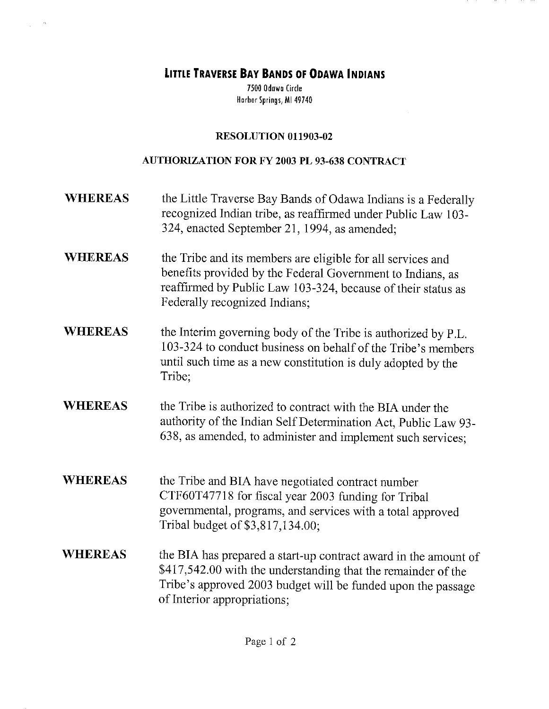**LITTLE TRAVERSE BAY BANDS OF ODAWA INDIANS** 

7500 Odawa Circle Harbor Springs, MI 49740

## RESOLUTION 011903-02

## AUTHORIZATION FOR FY 2003 PL 93-638 CONTRACT

- WHEREAS the Little Traverse Bay Bands of Odawa Indians is a Federally recognized Indian tribe, as reaffirmed under Public Law 103- 324, enacted September 21, 1994, as amended;
- WHEREAS the Tribe and its members are eligible for all services and benefits provided by the Federal Government to Indians, as reaffirmed by Public Law 103-324, because of their status as Federally recognized Indians;
- WHEREAS the Interim governing body of the Tribe is authorized by P.L. 103-324 to conduct business on behalf of the Tribe's members until such time as a new constitution is duly adopted by the Tribe;
- WHEREAS the Tribe is authorized to contract with the BIA under the authority of the Indian Self Determination Act, Public Law 93- 638, as amended, to administer and implement such services;
- WHEREAS the Tribe and BIA have negotiated contract number CTF60T47718 for fiscal year 2003 funding for Tribal governmental, programs, and services with a total approved Tribal budget of \$3,817,134.00;
- WHEREAS the BIA has prepared a start-up contract award in the amount of \$417,542.00 with the understanding that the remainder of the Tribe's approved 2003 budget will be funded upon the passage of Interior appropriations;